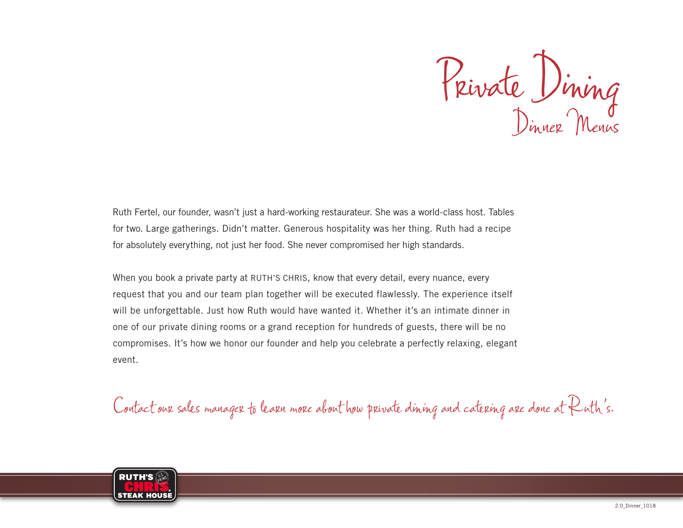Private Dining Dinner Menus

Ruth Fertel, our founder, wasn't just a hard-working restaurateur. She was a world-class host. Tables for two. Large gatherings. Didn't matter. Generous hospitality was her thing. Ruth had a recipe for absolutely everything, not just her food. She never compromised her high standards.

When you book a private party at RUTH'S CHRIS, know that every detail, every nuance, every request that you and our team plan together will be executed flawlessly. The experience itself will be unforgettable. Just how Ruth would have wanted it. Whether it's an intimate dinner in one of our private dining rooms or a grand reception for hundreds of guests, there will be no compromises. It's how we honor our founder and help you celebrate a perfectly relaxing, elegant event.

Contact our sales manager to learn more about how private dining and catering are done at Ruth's.

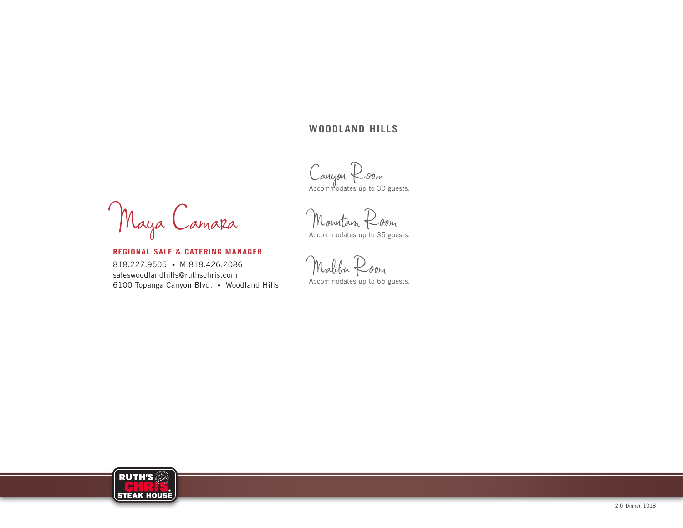#### **WOODLAND HILLS**

Canyon Room<br>Accommodates up to 30 guests.

Maya Camara

**REGIONAL SALE & CATERING MANAGER** 818.227.9505 • M 818.426.2086 saleswoodlandhills@ruthschris.com 6100 Topanga Canyon Blvd. • Woodland Hills

Mourtain Room Accommodates up to 35 guests.

Malibu Room Accommodates up to 65 guests.

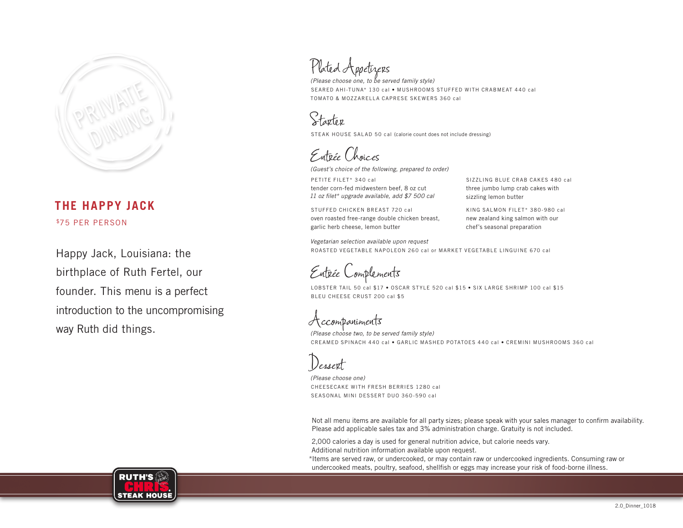

## **THE HAPPY JACK** \$75 PER PERSON

Happy Jack, Louisiana: the birthplace of Ruth Fertel, our founder. This menu is a perfect introduction to the uncompromising way Ruth did things.

Plated Appetizers

*(Please choose one, to be served family style)* SEARED AHI-TUNA\* 130 cal • MUSHROOMS STUFFED WITH CRABMEAT 440 cal TOMATO & MOZZARELLA CAPRESE SKEWERS 360 cal

Starter

STEAK HOUSE SALAD 50 cal (calorie count does not include dressing)

Entrée Choices

*(Guest's choice of the following, prepared to order)*

PETITE FILET\* 340 cal tender corn-fed midwestern beef, 8 oz cut *11 oz filet\* upgrade available, add \$7 500 cal*

STUFFED CHICKEN BREAST 720 cal oven roasted free-range double chicken breast, garlic herb cheese, lemon butter

SIZZLING BLUE CRAB CAKES 480 cal three jumbo lump crab cakes with sizzling lemon butter

KING SALMON FILET\* 380-980 cal new zealand king salmon with our chef's seasonal preparation

*Vegetarian selection available upon request* ROASTED VEGETABLE NAPOLEON 260 cal or MARKET VEGETABLE LINGUINE 670 cal

Entrée Complements

LOBSTER TAIL 50 cal \$17 • OSCAR STYLE 520 cal \$15 • SIX LARGE SHRIMP 100 cal \$15 BLEU CHEESE CRUST 200 cal \$5

Accompaniments

*(Please choose two, to be served family style)* CREAMED SPINACH 440 cal • GARLIC MASHED POTATOES 440 cal • CREMINI MUSHROOMS 360 cal

Dessert

*(Please choose one)* CHEESECAKE WITH FRESH BERRIES 1280 cal SEASONAL MINI DESSERT DUO 360-590 cal

Not all menu items are available for all party sizes; please speak with your sales manager to confirm availability. Please add applicable sales tax and 3% administration charge. Gratuity is not included.

2,000 calories a day is used for general nutrition advice, but calorie needs vary. Additional nutrition information available upon request.

\*Items are served raw, or undercooked, or may contain raw or undercooked ingredients. Consuming raw or undercooked meats, poultry, seafood, shellfish or eggs may increase your risk of food-borne illness.

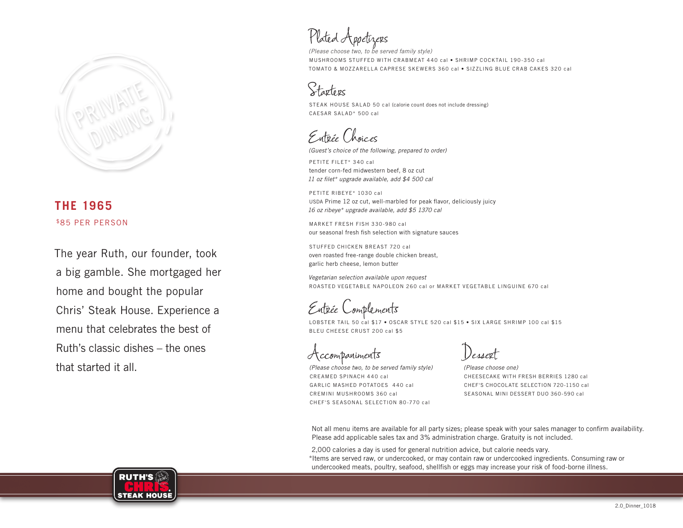

## **THE 1965** \$85 PER PERSON

The year Ruth, our founder, took a big gamble. She mortgaged her home and bought the popular Chris' Steak House. Experience a menu that celebrates the best of Ruth's classic dishes – the ones that started it all.

Plated Appetizers

*(Please choose two, to be served family style)* MUSHROOMS STUFFED WITH CRABMEAT 440 cal • SHRIMP COCKTAIL 190-350 cal TOMATO & MOZZARELLA CAPRESE SKEWERS 360 cal • SIZZLING BLUE CRAB CAKES 320 cal

Starters

STEAK HOUSE SALAD 50 cal (calorie count does not include dressing) CAESAR SALAD\* 500 cal

Entrée Choices

*(Guest's choice of the following, prepared to order)*

PETITE FILET\* 340 cal tender corn-fed midwestern beef, 8 oz cut *11 oz filet\* upgrade available, add \$4 500 cal*

PETITE RIBEYE\* 1030 cal USDA Prime 12 oz cut, well-marbled for peak flavor, deliciously juicy *16 oz ribeye\* upgrade available, add \$5 1370 cal*

MARKET FRESH FISH 330-980 cal our seasonal fresh fish selection with signature sauces

STUFFED CHICKEN BREAST 720 cal oven roasted free-range double chicken breast, garlic herb cheese, lemon butter

*Vegetarian selection available upon request* ROASTED VEGETABLE NAPOLEON 260 cal or MARKET VEGETABLE LINGUINE 670 cal

Entrée Complements

LOBSTER TAIL 50 cal \$17 • OSCAR STYLE 520 cal \$15 • SIX LARGE SHRIMP 100 cal \$15 BLEU CHEESE CRUST 200 cal \$5

,ccompaniments

*(Please choose two, to be served family style)* CREAMED SPINACH 440 cal GARLIC MASHED POTATOES 440 cal CREMINI MUSHROOMS 360 cal CHEF'S SEASONAL SELECTION 80-770 cal

Dessert

*(Please choose one)*  CHEESECAKE WITH FRESH BERRIES 1280 cal CHEF'S CHOCOLATE SELECTION 720-1150 cal SEASONAL MINI DESSERT DUO 360-590 cal

Not all menu items are available for all party sizes; please speak with your sales manager to confirm availability. Please add applicable sales tax and 3% administration charge. Gratuity is not included.

2,000 calories a day is used for general nutrition advice, but calorie needs vary. \*Items are served raw, or undercooked, or may contain raw or undercooked ingredients. Consuming raw or undercooked meats, poultry, seafood, shellfish or eggs may increase your risk of food-borne illness.

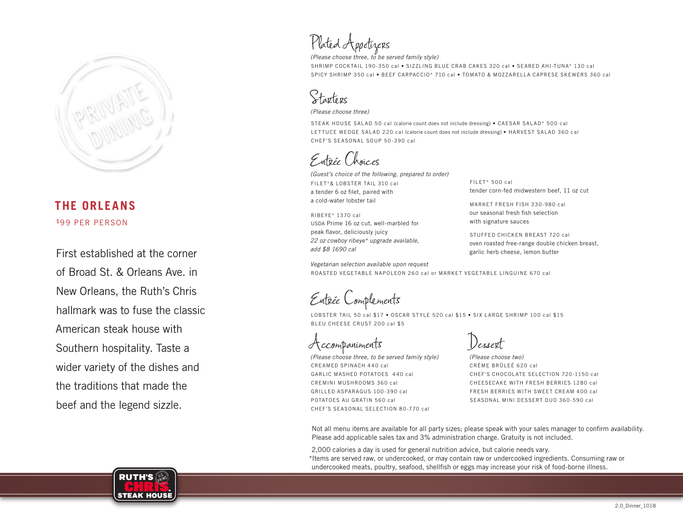

## **THE ORLEANS** \$99 PER PERSON

First established at the corner of Broad St. & Orleans Ave. in New Orleans, the Ruth's Chris hallmark was to fuse the classic American steak house with Southern hospitality. Taste a wider variety of the dishes and the traditions that made the beef and the legend sizzle.

# Plated Appetizers

*(Please choose three, to be served family style)*

SHRIMP COCKTAIL 190-350 cal • SIZZLING BLUE CRAB CAKES 320 cal • SEARED AHI-TUNA\* 130 cal SPICY SHRIMP 350 cal • BEEF CARPACCIO\* 710 cal • TOMATO & MOZZARELLA CAPRESE SKEWERS 360 cal

## Starters

*(Please choose three)*

STEAK HOUSE SALAD 50 cal (calorie count does not include dressing) • CAESAR SALAD\* 500 cal LETTUCE WEDGE SALAD 220 cal (calorie count does not include dressing) • HARVEST SALAD 360 cal CHEF'S SEASONAL SOUP 50-390 cal

Entrée Choices

*(Guest's choice of the following, prepared to order)* FILET\*& LOBSTER TAIL 310 cal a tender 6 oz filet, paired with a cold-water lobster tail

RIBEYE\* 1370 cal USDA Prime 16 oz cut, well-marbled for peak flavor, deliciously juicy *22 oz cowboy ribeye\* upgrade available, add \$8 1690 cal*

FILET\* 500 cal tender corn-fed midwestern beef, 11 oz cut

MARKET FRESH FISH 330-980 cal our seasonal fresh fish selection with signature sauces

STUFFED CHICKEN BREAST 720 cal oven roasted free-range double chicken breast, garlic herb cheese, lemon butter

*Vegetarian selection available upon request* ROASTED VEGETABLE NAPOLEON 260 cal or MARKET VEGETABLE LINGUINE 670 cal

Entrée Complements

LOBSTER TAIL 50 cal \$17 • OSCAR STYLE 520 cal \$15 • SIX LARGE SHRIMP 100 cal \$15 BLEU CHEESE CRUST 200 cal \$5

Accompaniments

*(Please choose three, to be served family style)* CREAMED SPINACH 440 cal GARLIC MASHED POTATOES 440 cal CREMINI MUSHROOMS 360 cal GRILLED ASPARAGUS 100-390 cal POTATOES AU GRATIN 560 cal CHEF'S SEASONAL SELECTION 80-770 cal

Dessert

*(Please choose two)* CRÈME BRÛLEÉ 620 cal CHEF'S CHOCOLATE SELECTION 720-1150 cal CHEESECAKE WITH FRESH BERRIES 1280 cal FRESH BERRIES WITH SWEET CREAM 400 cal SEASONAL MINI DESSERT DUO 360-590 cal

Not all menu items are available for all party sizes; please speak with your sales manager to confirm availability. Please add applicable sales tax and 3% administration charge. Gratuity is not included.

2,000 calories a day is used for general nutrition advice, but calorie needs vary. \*Items are served raw, or undercooked, or may contain raw or undercooked ingredients. Consuming raw or undercooked meats, poultry, seafood, shellfish or eggs may increase your risk of food-borne illness.

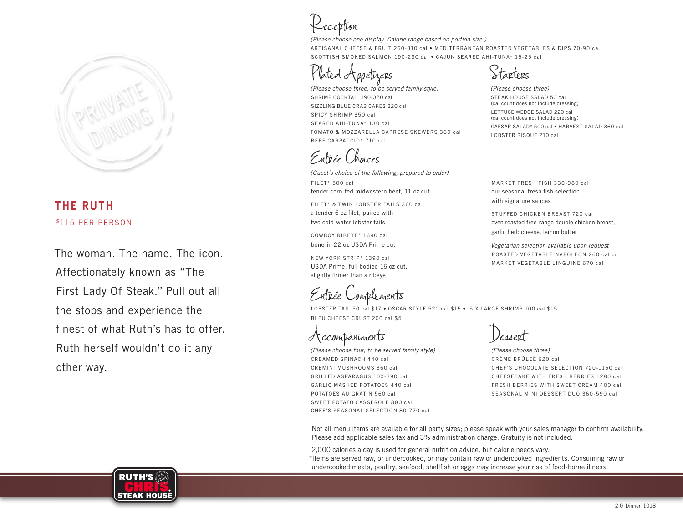

#### **THE RUTH** \$115 PER PERSON

The woman. The name. The icon. Affectionately known as "The First Lady Of Steak." Pull out all the stops and experience the finest of what Ruth's has to offer. Ruth herself wouldn't do it any other way.

Reception

*(Please choose one display. Calorie range based on portion size.)*  ARTISANAL CHEESE & FRUIT 260-310 cal • MEDITERRANEAN ROASTED VEGETABLES & DIPS 70-90 cal SCOTTISH SMOKED SALMON 190-230 cal • CAJUN SEARED AHI-TUNA\* 15-25 cal

poetizers

*(Please choose three, to be served family style)* SHRIMP COCKTAIL 190-350 cal SIZZLING BLUE CRAB CAKES 320 cal SPICY SHRIMP 350 cal SEARED AHI-TUNA\* 130 cal TOMATO & MOZZARELLA CAPRESE SKEWERS 360 cal BEEF CARPACCIO\* 710 cal

Entrée Choices

*(Guest's choice of the following, prepared to order)* FILET\* 500 cal tender corn-fed midwestern beef, 11 oz cut

FILET\* & TWIN LOBSTER TAILS 360 cal a tender 6 oz filet, paired with two cold-water lobster tails

COWBOY RIBEYE\* 1690 cal bone-in 22 oz USDA Prime cut

NEW YORK STRIP\* 1390 cal USDA Prime, full bodied 16 oz cut, slightly firmer than a ribeye

Entrée Complements<br>LOBSTER TAIL 50 cal \$17 • OSCAR STYLE 520 cal \$15 • SIX LARGE SHRIMP 100 cal \$15 BLEU CHEESE CRUST 200 cal \$5

Accompaniments

*(Please choose four, to be served family style)* CREAMED SPINACH 440 cal CREMINI MUSHROOMS 360 cal GRILLED ASPARAGUS 100-390 cal GARLIC MASHED POTATOES 440 cal POTATOES AU GRATIN 560 cal SWEET POTATO CASSEROLE 880 cal CHEF'S SEASONAL SELECTION 80-770 cal

Dessert

*(Please choose three)* CRÈME BRÛLEÉ 620 cal CHEF'S CHOCOLATE SELECTION 720-1150 cal CHEESECAKE WITH FRESH BERRIES 1280 cal FRESH BERRIES WITH SWEET CREAM 400 cal SEASONAL MINI DESSERT DUO 360-590 cal

Not all menu items are available for all party sizes; please speak with your sales manager to confirm availability. Please add applicable sales tax and 3% administration charge. Gratuity is not included.

2,000 calories a day is used for general nutrition advice, but calorie needs vary. \*Items are served raw, or undercooked, or may contain raw or undercooked ingredients. Consuming raw or undercooked meats, poultry, seafood, shellfish or eggs may increase your risk of food-borne illness.



Starters

*(Please choose three)* STEAK HOUSE SALAD 50 cal (cal count does not include dressing) LETTUCE WEDGE SALAD 220 cal (cal count does not include dressing) CAESAR SALAD\* 500 cal • HARVEST SALAD 360 cal LOBSTER BISQUE 210 cal

MARKET FRESH FISH 330-980 cal our seasonal fresh fish selection with signature sauces

STUFFED CHICKEN BREAST 720 cal oven roasted free-range double chicken breast, garlic herb cheese, lemon butter

*Vegetarian selection available upon request* ROASTED VEGETABLE NAPOLEON 260 cal or MARKET VEGETABLE LINGUINE 670 cal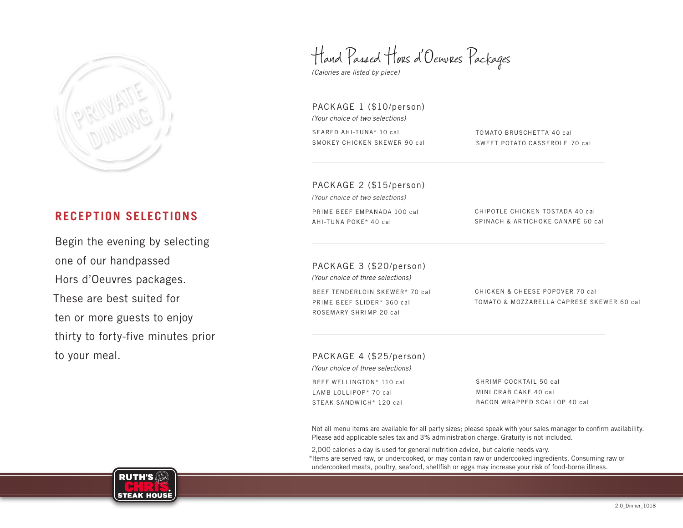

## **RECEPTION SELECTIONS**

Begin the evening by selecting one of our handpassed Hors d'Oeuvres packages. These are best suited for ten or more guests to enjoy thirty to forty-five minutes prior to your meal.

Hand Passed Hors d'Oeuvres Packages

*(Calories are listed by piece)*

PACKAGE 1 (\$10/person) *(Your choice of two selections)* SEARED AHI-TUNA\* 10 cal SMOKEY CHICKEN SKEWER 90 cal

TOMATO BRUSCHETTA 40 cal SWEET POTATO CASSEROLE 70 cal

PACKAGE 2 (\$15/person)

*(Your choice of two selections)*

PRIME BEEF EMPANADA 100 cal AHI-TUNA POKE\* 40 cal

CHIPOTLE CHICKEN TOSTADA 40 cal SPINACH & ARTICHOKE CANAPÉ 60 cal

PACKAGE 3 (\$20/person) *(Your choice of three selections)*

BEEF TENDERLOIN SKEWER\* 70 cal PRIME BEEF SLIDER\* 360 cal ROSEMARY SHRIMP 20 cal

CHICKEN & CHEESE POPOVER 70 cal TOMATO & MOZZARELLA CAPRESE SKEWER 60 cal

PACKAGE 4 (\$25/person) *(Your choice of three selections)*

BEEF WELLINGTON\* 110 cal LAMB LOLLIPOP\* 70 cal STEAK SANDWICH\* 120 cal

SHRIMP COCKTAIL 50 cal MINI CRAB CAKE 40 cal BACON WRAPPED SCALLOP 40 cal

Not all menu items are available for all party sizes; please speak with your sales manager to confirm availability. Please add applicable sales tax and 3% administration charge. Gratuity is not included.

2,000 calories a day is used for general nutrition advice, but calorie needs vary. \*Items are served raw, or undercooked, or may contain raw or undercooked ingredients. Consuming raw or undercooked meats, poultry, seafood, shellfish or eggs may increase your risk of food-borne illness.

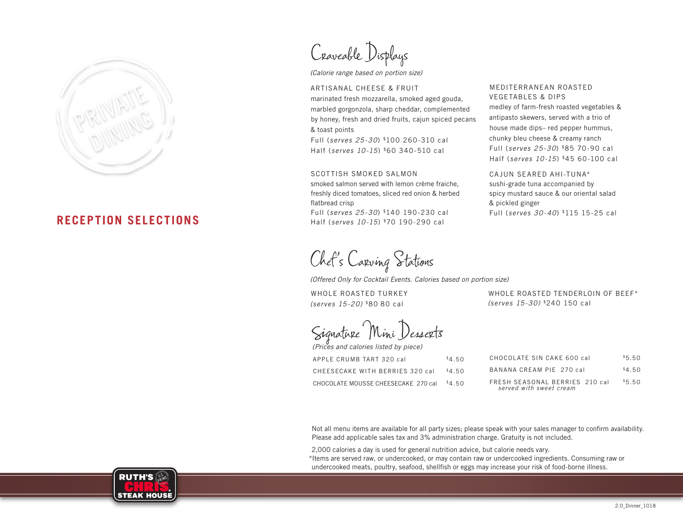

#### **RECEPTION SELECTIONS**

Craveable Displays

*(Calorie range based on portion size)*

ARTISANAL CHEESE & FRUIT marinated fresh mozzarella, smoked aged gouda, marbled gorgonzola, sharp cheddar, complemented by honey, fresh and dried fruits, cajun spiced pecans & toast points

Full (*serves 25-30*) \$100 260-310 cal Half (*serves 10-15*) \$60 340-510 cal

#### SCOTTISH SMOKED SALMON

smoked salmon served with lemon crème fraiche, freshly diced tomatoes, sliced red onion & herbed flatbread crisp Full (*serves 25-30*) \$140 190-230 cal

Half (*serves 10-15*) \$70 190-290 cal

Chef's Carving Stations

*(Offered Only for Cocktail Events. Calories based on portion size)*

WHOLE ROASTED TURKEY *(serves 15-20)* \$80 80 cal

WHOLE ROASTED TENDERLOIN OF BEEF\* *(serves 15-30)* \$240 150 cal

MEDITERRANEAN ROASTED VEGETABLES & DIPS

CAJUN SEARED AHI-TUNA\* sushi-grade tuna accompanied by spicy mustard sauce & our oriental salad

Full (*serves 30-40*) \$115 15-25 cal

& pickled ginger

medley of farm-fresh roasted vegetables & antipasto skewers, served with a trio of house made dips– red pepper hummus, chunky bleu cheese & creamy ranch Full (*serves 25-30*) \$85 70-90 cal Half (*serves 10-15*) \$45 60-100 cal

Signature Mini Desserts

| (Prices and calories listed by piece) |        |
|---------------------------------------|--------|
| APPLE CRUMB TART 320 cal              | \$4.50 |
| CHEESECAKE WITH BERRIES 320 cal       | \$4.50 |
| CHOCOLATE MOUSSE CHEESECAKE 270 cal   | \$4.50 |

CHOCOLATE SIN CAKE 600 cal \$5.50 BANANA CREAM PIE 270 cal \$4.50 FRESH SEASONAL BERRIES 210 cal \$5.50 *served with sweet cream*

Not all menu items are available for all party sizes; please speak with your sales manager to confirm availability. Please add applicable sales tax and 3% administration charge. Gratuity is not included.

2,000 calories a day is used for general nutrition advice, but calorie needs vary.

\*Items are served raw, or undercooked, or may contain raw or undercooked ingredients. Consuming raw or undercooked meats, poultry, seafood, shellfish or eggs may increase your risk of food-borne illness.